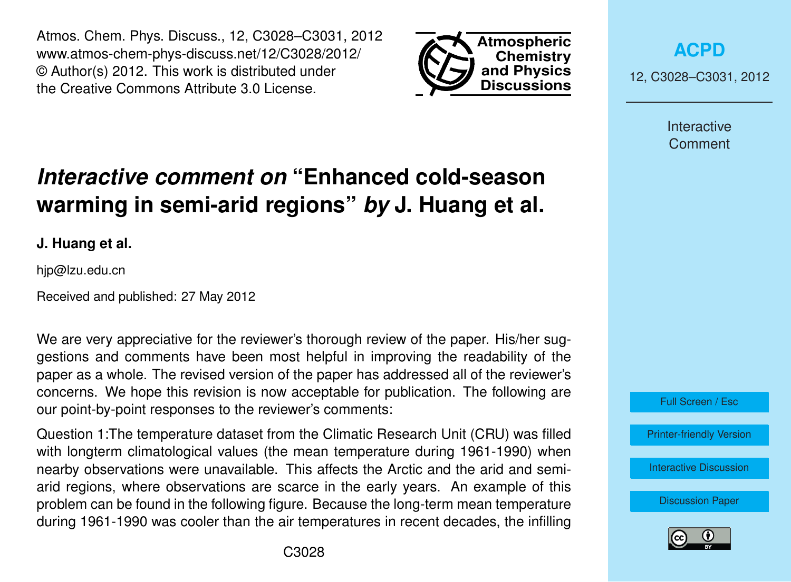Atmos. Chem. Phys. Discuss., 12, C3028–C3031, 2012 www.atmos-chem-phys-discuss.net/12/C3028/2012/ © Author(s) 2012. This work is distributed under the Creative Commons Attribute 3.0 License.



**[ACPD](http://www.atmos-chem-phys-discuss.net)**

12, C3028–C3031, 2012

Interactive **Comment** 

## *Interactive comment on* **"Enhanced cold-season warming in semi-arid regions"** *by* **J. Huang et al.**

**J. Huang et al.**

hjp@lzu.edu.cn

Received and published: 27 May 2012

We are very appreciative for the reviewer's thorough review of the paper. His/her suggestions and comments have been most helpful in improving the readability of the paper as a whole. The revised version of the paper has addressed all of the reviewer's concerns. We hope this revision is now acceptable for publication. The following are our point-by-point responses to the reviewer's comments:

Question 1:The temperature dataset from the Climatic Research Unit (CRU) was filled with longterm climatological values (the mean temperature during 1961-1990) when nearby observations were unavailable. This affects the Arctic and the arid and semiarid regions, where observations are scarce in the early years. An example of this problem can be found in the following figure. Because the long-term mean temperature during 1961-1990 was cooler than the air temperatures in recent decades, the infilling



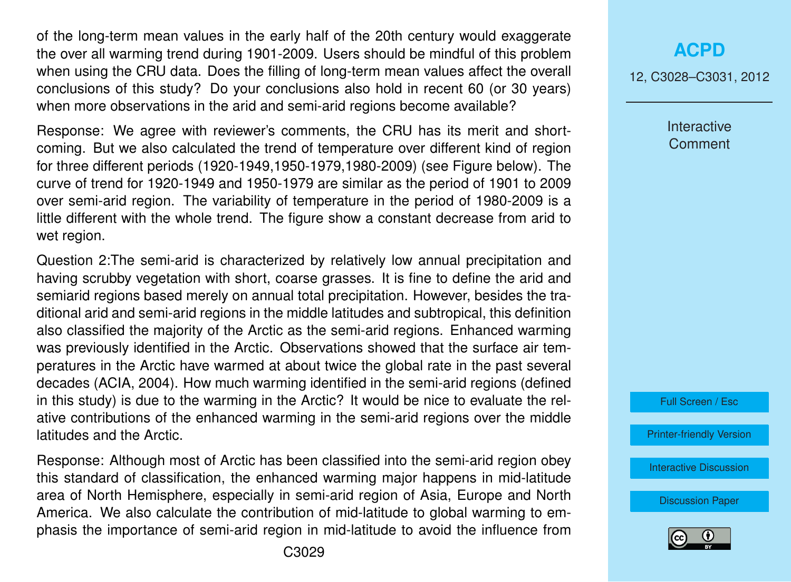of the long-term mean values in the early half of the 20th century would exaggerate the over all warming trend during 1901-2009. Users should be mindful of this problem when using the CRU data. Does the filling of long-term mean values affect the overall conclusions of this study? Do your conclusions also hold in recent 60 (or 30 years) when more observations in the arid and semi-arid regions become available?

Response: We agree with reviewer's comments, the CRU has its merit and shortcoming. But we also calculated the trend of temperature over different kind of region for three different periods (1920-1949,1950-1979,1980-2009) (see Figure below). The curve of trend for 1920-1949 and 1950-1979 are similar as the period of 1901 to 2009 over semi-arid region. The variability of temperature in the period of 1980-2009 is a little different with the whole trend. The figure show a constant decrease from arid to wet region.

Question 2:The semi-arid is characterized by relatively low annual precipitation and having scrubby vegetation with short, coarse grasses. It is fine to define the arid and semiarid regions based merely on annual total precipitation. However, besides the traditional arid and semi-arid regions in the middle latitudes and subtropical, this definition also classified the majority of the Arctic as the semi-arid regions. Enhanced warming was previously identified in the Arctic. Observations showed that the surface air temperatures in the Arctic have warmed at about twice the global rate in the past several decades (ACIA, 2004). How much warming identified in the semi-arid regions (defined in this study) is due to the warming in the Arctic? It would be nice to evaluate the relative contributions of the enhanced warming in the semi-arid regions over the middle latitudes and the Arctic.

Response: Although most of Arctic has been classified into the semi-arid region obey this standard of classification, the enhanced warming major happens in mid-latitude area of North Hemisphere, especially in semi-arid region of Asia, Europe and North America. We also calculate the contribution of mid-latitude to global warming to emphasis the importance of semi-arid region in mid-latitude to avoid the influence from 12, C3028–C3031, 2012

**Interactive Comment** 



[Printer-friendly Version](http://www.atmos-chem-phys-discuss.net/12/C3028/2012/acpd-12-C3028-2012-print.pdf)

[Interactive Discussion](http://www.atmos-chem-phys-discuss.net/12/4627/2012/acpd-12-4627-2012-discussion.html)

[Discussion Paper](http://www.atmos-chem-phys-discuss.net/12/4627/2012/acpd-12-4627-2012.pdf)

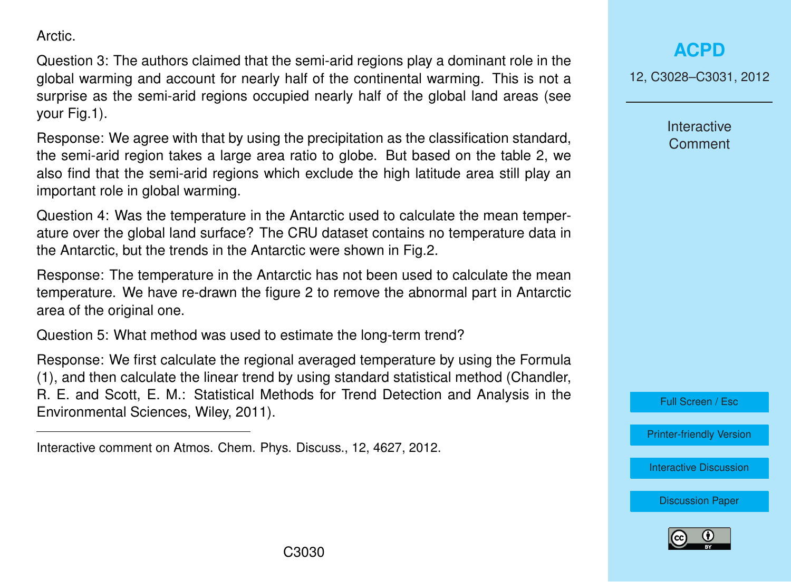Arctic.

Question 3: The authors claimed that the semi-arid regions play a dominant role in the global warming and account for nearly half of the continental warming. This is not a surprise as the semi-arid regions occupied nearly half of the global land areas (see your Fig.1).

Response: We agree with that by using the precipitation as the classification standard, the semi-arid region takes a large area ratio to globe. But based on the table 2, we also find that the semi-arid regions which exclude the high latitude area still play an important role in global warming.

Question 4: Was the temperature in the Antarctic used to calculate the mean temperature over the global land surface? The CRU dataset contains no temperature data in the Antarctic, but the trends in the Antarctic were shown in Fig.2.

Response: The temperature in the Antarctic has not been used to calculate the mean temperature. We have re-drawn the figure 2 to remove the abnormal part in Antarctic area of the original one.

Question 5: What method was used to estimate the long-term trend?

Response: We first calculate the regional averaged temperature by using the Formula (1), and then calculate the linear trend by using standard statistical method (Chandler, R. E. and Scott, E. M.: Statistical Methods for Trend Detection and Analysis in the Environmental Sciences, Wiley, 2011).

Interactive comment on Atmos. Chem. Phys. Discuss., 12, 4627, 2012.

## **[ACPD](http://www.atmos-chem-phys-discuss.net)**

12, C3028–C3031, 2012

Interactive **Comment** 

Full Screen / Esc

[Printer-friendly Version](http://www.atmos-chem-phys-discuss.net/12/C3028/2012/acpd-12-C3028-2012-print.pdf)

[Interactive Discussion](http://www.atmos-chem-phys-discuss.net/12/4627/2012/acpd-12-4627-2012-discussion.html)

[Discussion Paper](http://www.atmos-chem-phys-discuss.net/12/4627/2012/acpd-12-4627-2012.pdf)